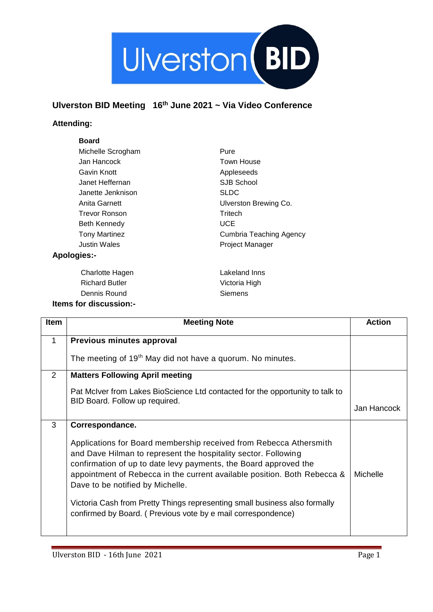

## **Ulverston BID Meeting 16th June 2021 ~ Via Video Conference**

## **Attending:**

## **Board**

| Michelle Scrogham    | Pure                    |
|----------------------|-------------------------|
| Jan Hancock          | <b>Town House</b>       |
| Gavin Knott          | Appleseeds              |
| Janet Heffernan      | SJB School              |
| Janette Jenknison    | <b>SLDC</b>             |
| Anita Garnett        | Ulverston Brewing Co.   |
| Trevor Ronson        | Tritech                 |
| Beth Kennedy         | <b>UCE</b>              |
| <b>Tony Martinez</b> | Cumbria Teaching Agency |
| <b>Justin Wales</b>  | <b>Project Manager</b>  |
| <b>Apologies:-</b>   |                         |

Charlotte Hagen Richard Butler Dennis Round **Items for discussion:-** Lakeland Inns Victoria High Siemens

| <b>Item</b> | <b>Meeting Note</b>                                                                                                                                                                                                                                                                                                      | <b>Action</b> |
|-------------|--------------------------------------------------------------------------------------------------------------------------------------------------------------------------------------------------------------------------------------------------------------------------------------------------------------------------|---------------|
| 1           | Previous minutes approval                                                                                                                                                                                                                                                                                                |               |
|             | The meeting of 19 <sup>th</sup> May did not have a quorum. No minutes.                                                                                                                                                                                                                                                   |               |
| 2           | <b>Matters Following April meeting</b>                                                                                                                                                                                                                                                                                   |               |
|             | Pat McIver from Lakes BioScience Ltd contacted for the opportunity to talk to                                                                                                                                                                                                                                            |               |
|             | BID Board. Follow up required.                                                                                                                                                                                                                                                                                           | Jan Hancock   |
| 3           | Correspondance.                                                                                                                                                                                                                                                                                                          |               |
|             | Applications for Board membership received from Rebecca Athersmith<br>and Dave Hilman to represent the hospitality sector. Following<br>confirmation of up to date levy payments, the Board approved the<br>appointment of Rebecca in the current available position. Both Rebecca &<br>Dave to be notified by Michelle. | Michelle      |
|             | Victoria Cash from Pretty Things representing small business also formally<br>confirmed by Board. (Previous vote by e mail correspondence)                                                                                                                                                                               |               |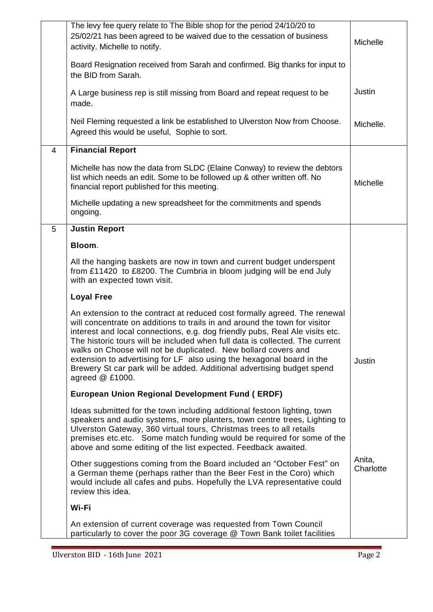|   | The levy fee query relate to The Bible shop for the period 24/10/20 to<br>25/02/21 has been agreed to be waived due to the cessation of business<br>activity. Michelle to notify.                                                                                                                                                                                                                                                                                                                                                                                 | Michelle            |
|---|-------------------------------------------------------------------------------------------------------------------------------------------------------------------------------------------------------------------------------------------------------------------------------------------------------------------------------------------------------------------------------------------------------------------------------------------------------------------------------------------------------------------------------------------------------------------|---------------------|
|   | Board Resignation received from Sarah and confirmed. Big thanks for input to<br>the BID from Sarah.                                                                                                                                                                                                                                                                                                                                                                                                                                                               |                     |
|   | A Large business rep is still missing from Board and repeat request to be<br>made.                                                                                                                                                                                                                                                                                                                                                                                                                                                                                | Justin              |
|   | Neil Fleming requested a link be established to Ulverston Now from Choose.<br>Agreed this would be useful, Sophie to sort.                                                                                                                                                                                                                                                                                                                                                                                                                                        | Michelle.           |
| 4 | <b>Financial Report</b>                                                                                                                                                                                                                                                                                                                                                                                                                                                                                                                                           |                     |
|   | Michelle has now the data from SLDC (Elaine Conway) to review the debtors<br>list which needs an edit. Some to be followed up & other written off. No<br>financial report published for this meeting.                                                                                                                                                                                                                                                                                                                                                             | Michelle            |
|   | Michelle updating a new spreadsheet for the commitments and spends<br>ongoing.                                                                                                                                                                                                                                                                                                                                                                                                                                                                                    |                     |
| 5 | <b>Justin Report</b>                                                                                                                                                                                                                                                                                                                                                                                                                                                                                                                                              |                     |
|   | Bloom.                                                                                                                                                                                                                                                                                                                                                                                                                                                                                                                                                            |                     |
|   | All the hanging baskets are now in town and current budget underspent<br>from £11420 to £8200. The Cumbria in bloom judging will be end July<br>with an expected town visit.                                                                                                                                                                                                                                                                                                                                                                                      |                     |
|   | <b>Loyal Free</b>                                                                                                                                                                                                                                                                                                                                                                                                                                                                                                                                                 |                     |
|   | An extension to the contract at reduced cost formally agreed. The renewal<br>will concentrate on additions to trails in and around the town for visitor<br>interest and local connections, e.g. dog friendly pubs, Real Ale visits etc.<br>The historic tours will be included when full data is collected. The current<br>walks on Choose will not be duplicated. New bollard covers and<br>extension to advertising for LF also using the hexagonal board in the<br>Brewery St car park will be added. Additional advertising budget spend<br>agreed $@$ £1000. | Justin              |
|   | <b>European Union Regional Development Fund (ERDF)</b>                                                                                                                                                                                                                                                                                                                                                                                                                                                                                                            |                     |
|   | Ideas submitted for the town including additional festoon lighting, town<br>speakers and audio systems, more planters, town centre trees, Lighting to<br>Ulverston Gateway, 360 virtual tours, Christmas trees to all retails<br>premises etc.etc. Some match funding would be required for some of the<br>above and some editing of the list expected. Feedback awaited.                                                                                                                                                                                         |                     |
|   | Other suggestions coming from the Board included an "October Fest" on<br>a German theme (perhaps rather than the Beer Fest in the Coro) which<br>would include all cafes and pubs. Hopefully the LVA representative could<br>review this idea.                                                                                                                                                                                                                                                                                                                    | Anita,<br>Charlotte |
|   | Wi-Fi                                                                                                                                                                                                                                                                                                                                                                                                                                                                                                                                                             |                     |
|   | An extension of current coverage was requested from Town Council<br>particularly to cover the poor 3G coverage @ Town Bank toilet facilities                                                                                                                                                                                                                                                                                                                                                                                                                      |                     |